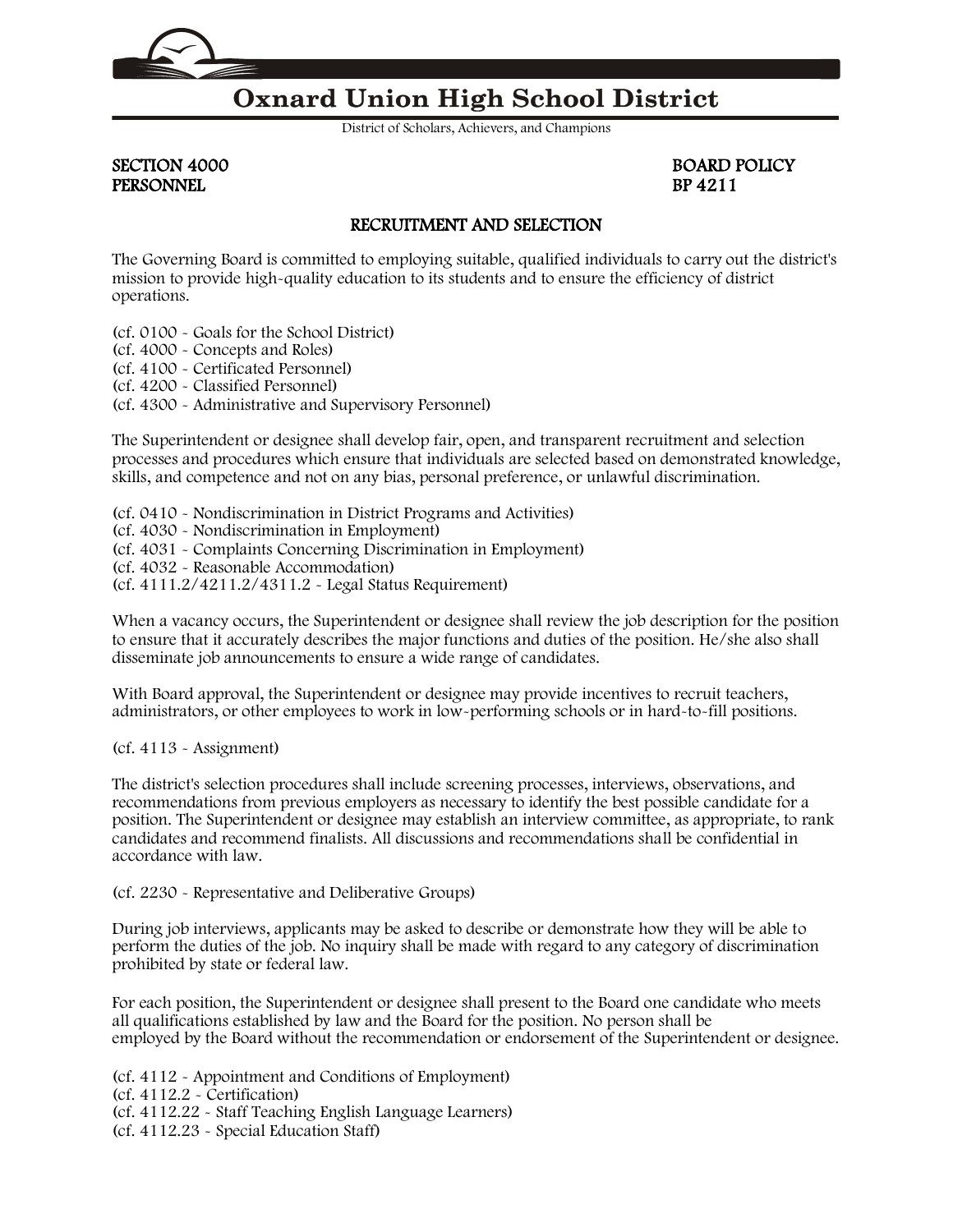

## **Oxnard Union High School District**

District of Scholars, Achievers, and Champions

PERSONNEL

SECTION 4000<br>
PERSONNEL<br>
BP 4211

## RECRUITMENT AND SELECTION

The Governing Board is committed to employing suitable, qualified individuals to carry out the district's mission to provide high-quality education to its students and to ensure the efficiency of district operations.

(cf. [0100](http://gamutonline.net/displayPolicy/171516/4) - Goals for the School District)

(cf. [4000](http://gamutonline.net/displayPolicy/171215/4) - Concepts and Roles)

(cf. [4100](http://gamutonline.net/displayPolicy/171216/4) - Certificated Personnel)

(cf. [4200](http://gamutonline.net/displayPolicy/288759/4) - Classified Personnel)

(cf. [4300](http://gamutonline.net/displayPolicy/315741/4) - Administrative and Supervisory Personnel)

The Superintendent or designee shall develop fair, open, and transparent recruitment and selection processes and procedures which ensure that individuals are selected based on demonstrated knowledge, skills, and competence and not on any bias, personal preference, or unlawful discrimination.

(cf. [0410](http://gamutonline.net/displayPolicy/890898/4) - Nondiscrimination in District Programs and Activities)

- (cf. [4030](http://gamutonline.net/displayPolicy/315731/4) Nondiscrimination in Employment)
- (cf. [4031](http://gamutonline.net/displayPolicy/171687/4) Complaints Concerning Discrimination in Employment)

(cf. [4032](http://gamutonline.net/displayPolicy/292816/4) - Reasonable Accommodation)

(cf. [4111.2/](http://gamutonline.net/displayPolicy/559089/4)[4211.2/](http://gamutonline.net/displayPolicy/559090/4)[4311.2](http://gamutonline.net/displayPolicy/559091/4) - Legal Status Requirement)

When a vacancy occurs, the Superintendent or designee shall review the job description for the position to ensure that it accurately describes the major functions and duties of the position. He/she also shall disseminate job announcements to ensure a wide range of candidates.

With Board approval, the Superintendent or designee may provide incentives to recruit teachers, administrators, or other employees to work in low-performing schools or in hard-to-fill positions.

(cf. [4113](http://gamutonline.net/displayPolicy/559095/4) - Assignment)

The district's selection procedures shall include screening processes, interviews, observations, and recommendations from previous employers as necessary to identify the best possible candidate for a position. The Superintendent or designee may establish an interview committee, as appropriate, to rank candidates and recommend finalists. All discussions and recommendations shall be confidential in accordance with law.

(cf. [2230](http://gamutonline.net/displayPolicy/244939/4) - Representative and Deliberative Groups)

During job interviews, applicants may be asked to describe or demonstrate how they will be able to perform the duties of the job. No inquiry shall be made with regard to any category of discrimination prohibited by state or federal law.

For each position, the Superintendent or designee shall present to the Board one candidate who meets all qualifications established by law and the Board for the position. No person shall be employed by the Board without the recommendation or endorsement of the Superintendent or designee.

(cf. [4112](http://gamutonline.net/displayPolicy/259625/4) - Appointment and Conditions of Employment) (cf. [4112.2](http://gamutonline.net/displayPolicy/211089/4) - Certification) (cf. [4112.22](http://gamutonline.net/displayPolicy/352648/4) - Staff Teaching English Language Learners) (cf. [4112.23](http://gamutonline.net/displayPolicy/395595/4) - Special Education Staff)